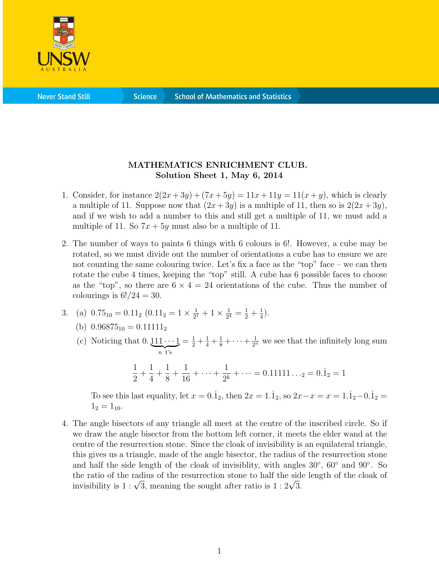

**Science** 

## MATHEMATICS ENRICHMENT CLUB. Solution Sheet 1, May 6, 2014

- 1. Consider, for instance  $2(2x+3y)+(7x+5y) = 11x+11y = 11(x+y)$ , which is clearly a multiple of 11. Suppose now that  $(2x+3y)$  is a multiple of 11, then so is  $2(2x+3y)$ , and if we wish to add a number to this and still get a multiple of 11, we must add a multiple of 11. So  $7x + 5y$  must also be a multiple of 11.
- 2. The number of ways to paints 6 things with 6 colours is 6!. However, a cube may be rotated, so we must divide out the number of orientations a cube has to ensure we are not counting the same colouring twice. Let's fix a face as the "top" face – we can then rotate the cube 4 times, keeping the "top" still. A cube has 6 possible faces to choose as the "top", so there are  $6 \times 4 = 24$  orientations of the cube. Thus the number of colourings is  $6!/24 = 30$ .

3. (a) 
$$
0.75_{10} = 0.11_2 (0.11_2 = 1 \times \frac{1}{2^1} + 1 \times \frac{1}{2^4} = \frac{1}{2} + \frac{1}{4}).
$$

(b) 
$$
0.96875_{10} = 0.11111_2
$$

(c) Noticing that  $0.111 \cdots 1$  $\overline{n}$  1's  $=\frac{1}{2} + \frac{1}{4} + \frac{1}{8} + \cdots + \frac{1}{2^n}$  we see that the infinitely long sum

$$
\frac{1}{2} + \frac{1}{4} + \frac{1}{8} + \frac{1}{16} + \dots + \frac{1}{2^{k}} + \dots = 0.11111\dots = 0.1_{2} = 1
$$

To see this last equality, let  $x = 0.\dot{1}_2$ , then  $2x = 1.\dot{1}_2$ , so  $2x - x = x = 1.\dot{1}_2 - 0.\dot{1}_2 =$  $1_2 = 1_{10}$ .

4. The angle bisectors of any triangle all meet at the centre of the inscribed circle. So if we draw the angle bisector from the bottom left corner, it meets the elder wand at the centre of the resurrection stone. Since the cloak of invisibility is an equilateral triangle, this gives us a triangle, made of the angle bisector, the radius of the resurrection stone and half the side length of the cloak of invisiblity, with angles 30◦ , 60◦ and 90◦ . So the ratio of the radius of the resurrection stone to half the side length of the cloak of the ratio of the radius of the resurrection stone to half the side<br>invisibility is  $1 : \sqrt{3}$ , meaning the sought after ratio is  $1 : 2\sqrt{3}$ .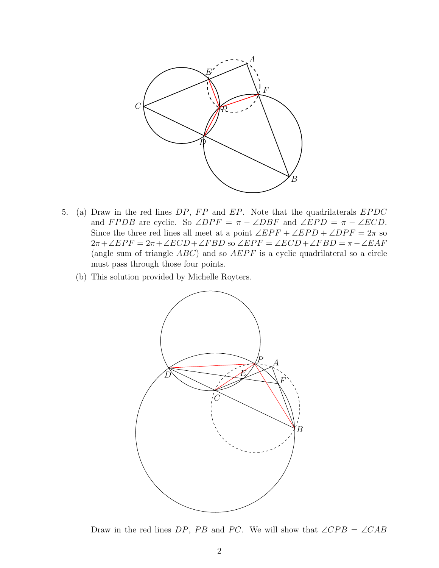

- 5. (a) Draw in the red lines  $DP$ ,  $FP$  and  $EP$ . Note that the quadrilaterals  $EPDC$ and FPDB are cyclic. So  $\angle DPF = \pi - \angle DBF$  and  $\angle EPD = \pi - \angle ECD$ . Since the three red lines all meet at a point  $\angle EPF + \angle EPD + \angle DPF = 2\pi$  so  $2\pi + \angle EPF = 2\pi + \angle ECD + \angle FBD$  so  $\angle EPF = \angle ECD + \angle FBD = \pi - \angle EAF$ (angle sum of triangle  $ABC$ ) and so  $AEPF$  is a cyclic quadrilateral so a circle must pass through those four points.
	- (b) This solution provided by Michelle Royters.



Draw in the red lines DP, PB and PC. We will show that  $\angle CPB = \angle CAB$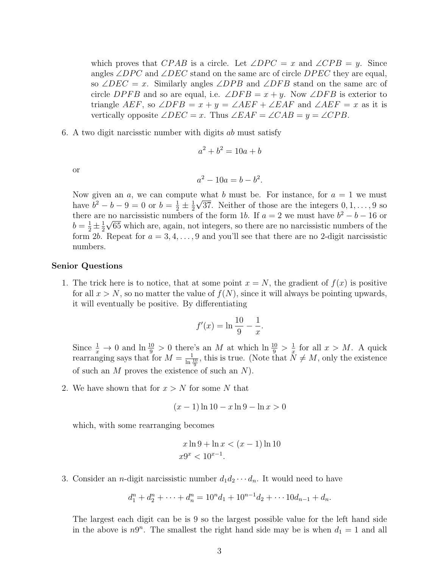which proves that CPAB is a circle. Let  $\angle DPC = x$  and  $\angle CPB = y$ . Since angles  $\angle DPC$  and  $\angle DEC$  stand on the same arc of circle  $DPEC$  they are equal, so ∠DEC = x. Similarly angles ∠DPB and ∠DFB stand on the same arc of circle DPFB and so are equal, i.e.  $\angle$ DFB =  $x + y$ . Now  $\angle$ DFB is exterior to triangle AEF, so  $\angle$ DFB =  $x + y = \angle AEF + \angle EAF$  and  $\angle AEF = x$  as it is vertically opposite  $\angle DEC = x$ . Thus  $\angle EAF = \angle CAB = y = \angle CPB$ .

6. A two digit narcisstic number with digits ab must satisfy

$$
a^2 + b^2 = 10a + b
$$

or

$$
a^2 - 10a = b - b^2.
$$

Now given an a, we can compute what b must be. For instance, for  $a = 1$  we must have  $b^2 - b - 9 = 0$  or  $b = \frac{1}{2} \pm \frac{1}{2}$  $\frac{1}{2}\sqrt{37}$ . Neither of those are the integers  $0, 1, \ldots, 9$  so there are no narcissistic numbers of the form 1b. If  $a = 2$  we must have  $b^2 - b - 16$  or  $b = \frac{1}{2} \pm \frac{1}{2}$  $\frac{1}{2}\sqrt{65}$  which are, again, not integers, so there are no narcissistic numbers of the form 2b. Repeat for  $a = 3, 4, \ldots, 9$  and you'll see that there are no 2-digit narcissistic numbers.

## Senior Questions

1. The trick here is to notice, that at some point  $x = N$ , the gradient of  $f(x)$  is positive for all  $x > N$ , so no matter the value of  $f(N)$ , since it will always be pointing upwards, it will eventually be positive. By differentiating

$$
f'(x) = \ln \frac{10}{9} - \frac{1}{x}.
$$

Since  $\frac{1}{x} \to 0$  and  $\ln \frac{10}{9} > 0$  there's an M at which  $\ln \frac{10}{9} > \frac{1}{x}$  $\frac{1}{x}$  for all  $x > M$ . A quick rearranging says that for  $M = \frac{1}{\ln \frac{10}{9}}$ , this is true. (Note that  $\tilde{N} \neq M$ , only the existence of such an  $M$  proves the existence of such an  $N$ ).

2. We have shown that for  $x > N$  for some N that

$$
(x-1)\ln 10 - x\ln 9 - \ln x > 0
$$

which, with some rearranging becomes

$$
x \ln 9 + \ln x < (x - 1) \ln 10
$$
\n
$$
x9^x < 10^{x-1}.
$$

3. Consider an *n*-digit narcissistic number  $d_1 d_2 \cdots d_n$ . It would need to have

$$
d_1^n + d_2^n + \dots + d_n^n = 10^n d_1 + 10^{n-1} d_2 + \dots + 10 d_{n-1} + d_n.
$$

The largest each digit can be is 9 so the largest possible value for the left hand side in the above is  $n9^n$ . The smallest the right hand side may be is when  $d_1 = 1$  and all